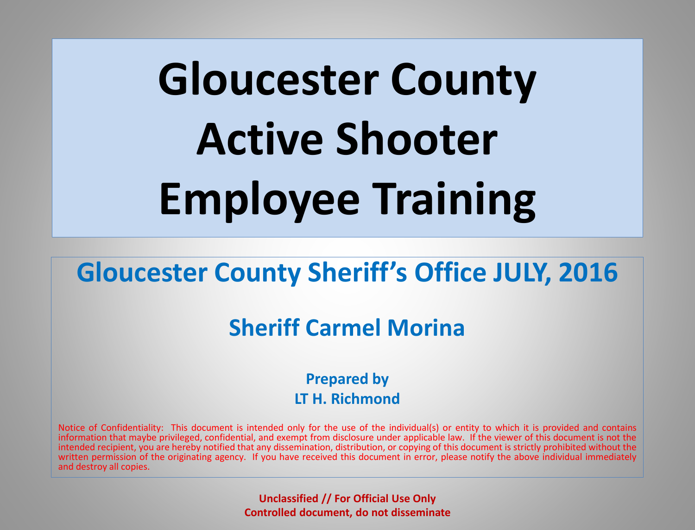# **Gloucester County Active Shooter Employee Training**

### **Gloucester County Sheriff's Office JULY, 2016**

### **Sheriff Carmel Morina**

**Prepared by LT H. Richmond**

Notice of Confidentiality: This document is intended only for the use of the individual(s) or entity to which it is provided and contains information that maybe privileged, confidential, and exempt from disclosure under applicable law. If the viewer of this document is not the intended recipient, you are hereby notified that any dissemination, distribution, or copying of this document is strictly prohibited without the written permission of the originating agency. If you have received this document in error, please notify the above individual immediately and destroy all copies.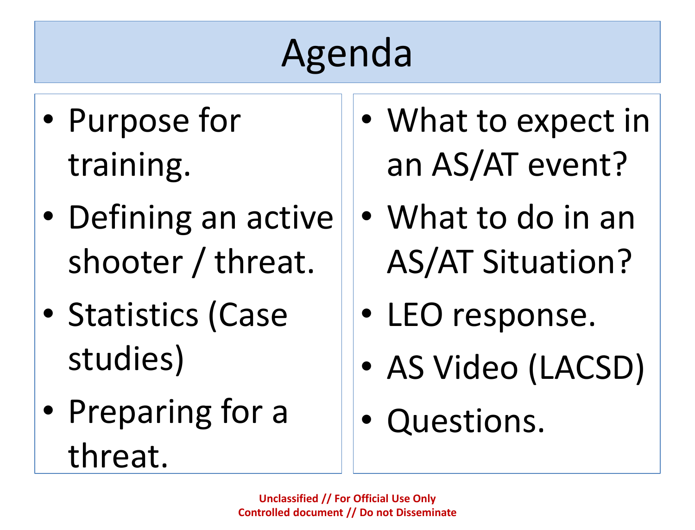## Agenda

- Purpose for training.
- Defining an active shooter / threat.
- Statistics (Case studies)
- Preparing for a threat.
- What to expect in an AS/AT event?
- What to do in an AS/AT Situation?
- LEO response.
- AS Video (LACSD)
- Questions.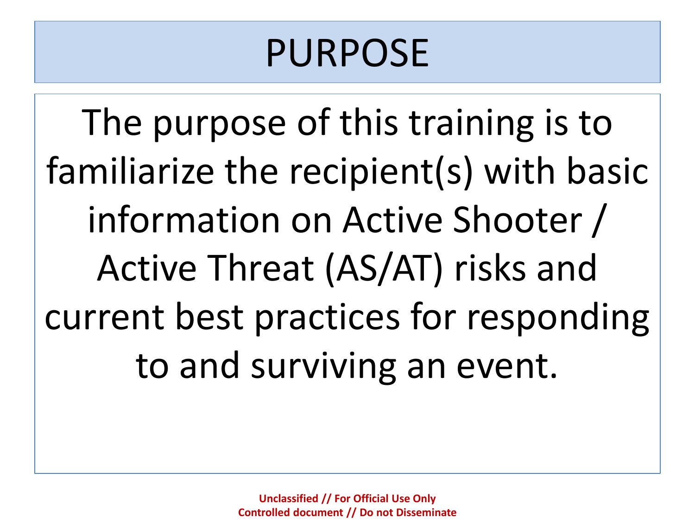### PURPOSE

The purpose of this training is to familiarize the recipient(s) with basic information on Active Shooter / Active Threat (AS/AT) risks and current best practices for responding to and surviving an event.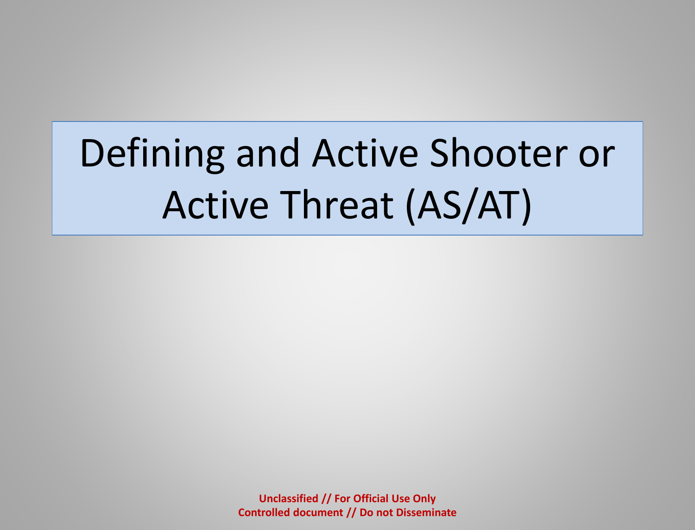## Defining and Active Shooter or Active Threat (AS/AT)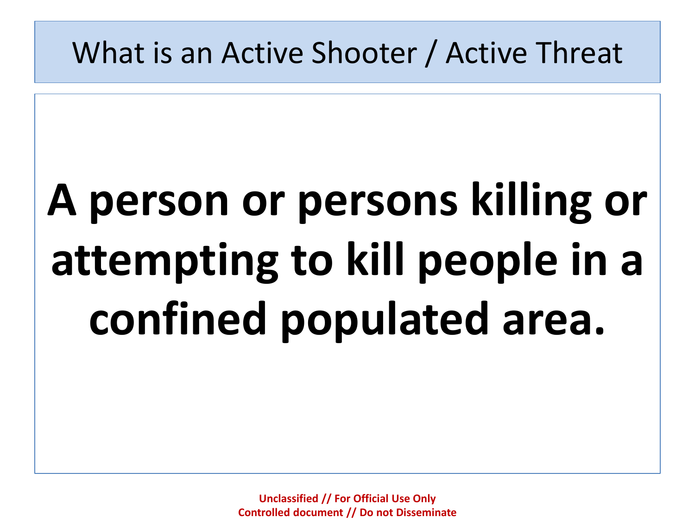### What is an Active Shooter / Active Threat

# **A person or persons killing or attempting to kill people in a confined populated area.**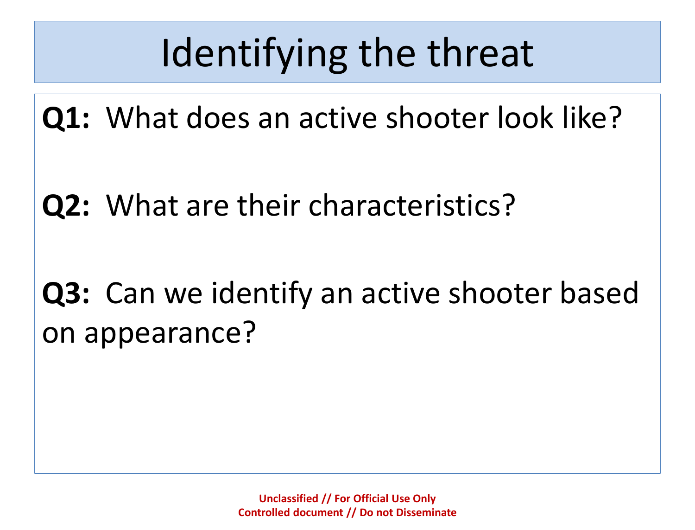## Identifying the threat

**Q1:** What does an active shooter look like?

**Q2:** What are their characteristics?

### **Q3:** Can we identify an active shooter based on appearance?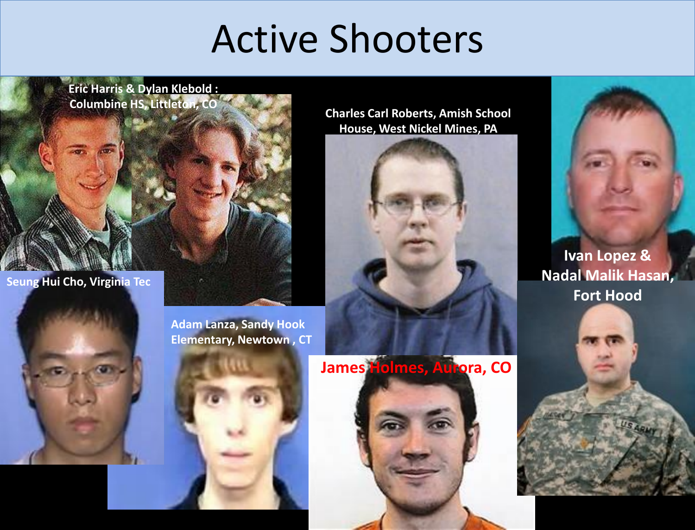### Active Shooters

**Eric Harris & Dylan Klebold : Columbine HS, Littleton, CO**

**Seung Hui Cho, Virginia Tec** 

**Charles Carl Roberts, Amish School House, West Nickel Mines, PA**





**Ivan Lopez & Nadal Malik Hasan, Fort Hood**

**Adam Lanza, Sandy Hook Elementary, Newtown , CT**



**James Holmes, Aurora, CO**

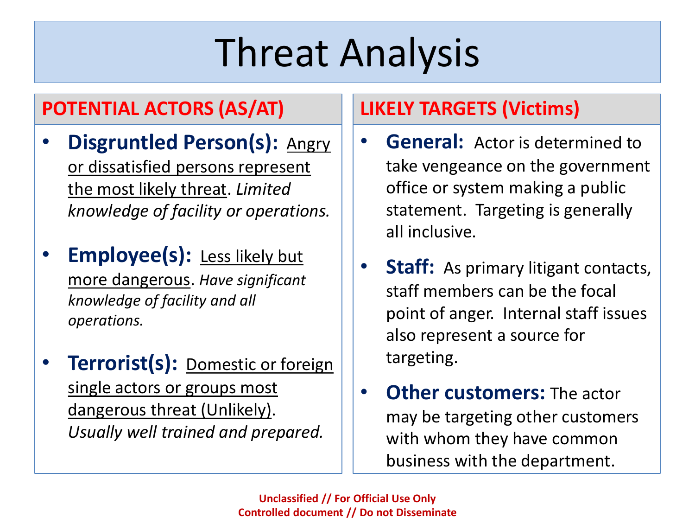## Threat Analysis

### **POTENTIAL ACTORS (AS/AT)**

- **Disgruntled Person(s): Angry** or dissatisfied persons represent the most likely threat. *Limited knowledge of facility or operations.*
- **Employee(s):** Less likely but more dangerous. *Have significant knowledge of facility and all operations.*
- **Terrorist(s):** Domestic or foreign single actors or groups most dangerous threat (Unlikely). *Usually well trained and prepared.*

### **LIKELY TARGETS (Victims)**

- **General:** Actor is determined to take vengeance on the government office or system making a public statement. Targeting is generally all inclusive.
- **Staff:** As primary litigant contacts, staff members can be the focal point of anger. Internal staff issues also represent a source for targeting.
- **Other customers:** The actor may be targeting other customers with whom they have common business with the department.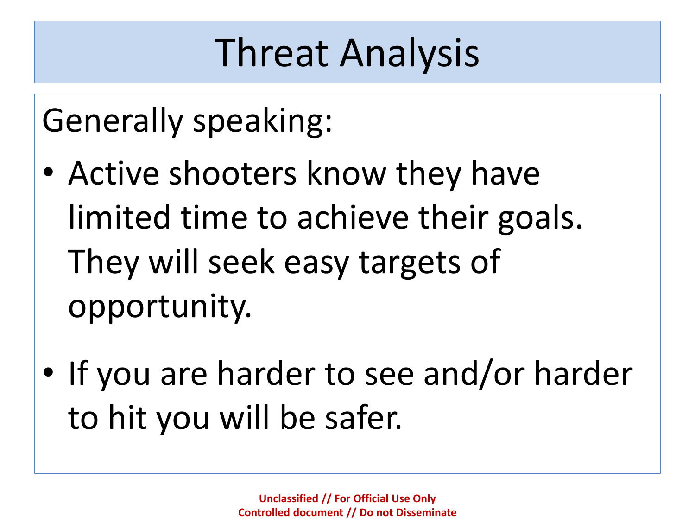### Threat Analysis

Generally speaking:

- Active shooters know they have limited time to achieve their goals. They will seek easy targets of opportunity.
- If you are harder to see and/or harder to hit you will be safer.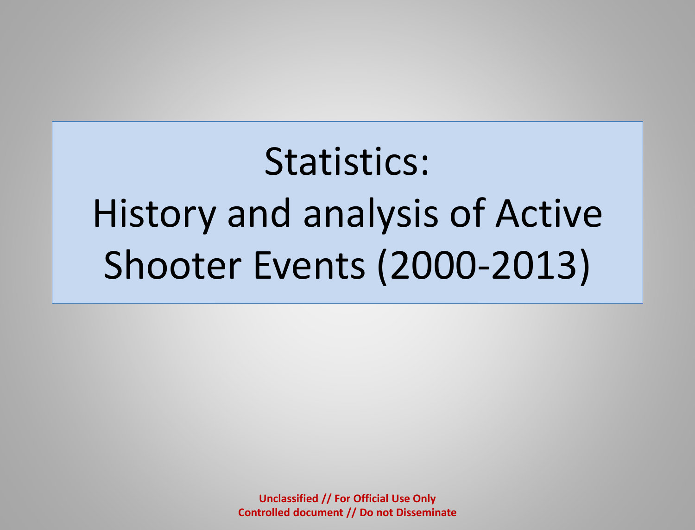Statistics: History and analysis of Active Shooter Events (2000-2013)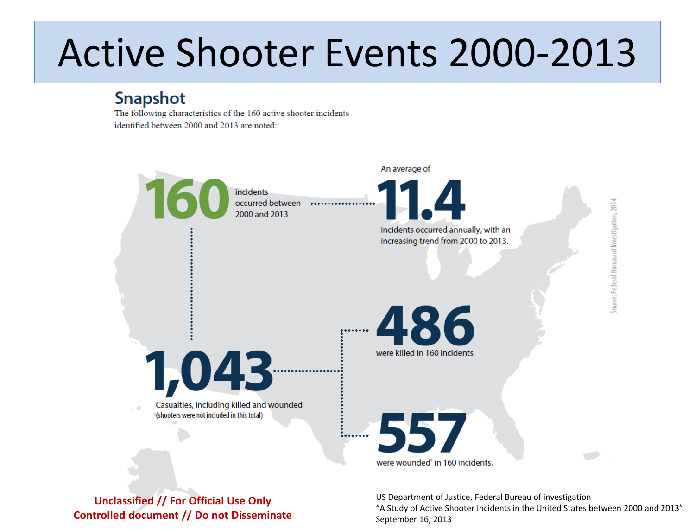### Active Shooter Events 2000-2013

### Snapshot

The following characteristics of the 160 active shooter incidents identified between 2000 and 2013 are noted:



**Unclassified // For Official Use Only Controlled document // Do not Disseminate** US Department of Justice, Federal Bureau of investigation "A Study of Active Shooter Incidents in the United States between 2000 and 2013" September 16, 2013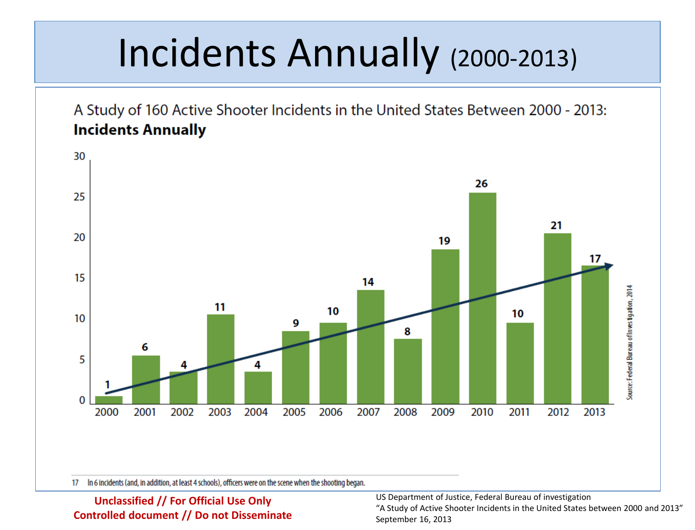### Incidents Annually (2000-2013)

A Study of 160 Active Shooter Incidents in the United States Between 2000 - 2013: **Incidents Annually** 



In 6 incidents (and, in addition, at least 4 schools), officers were on the scene when the shooting began. 17

**Unclassified // For Official Use Only Controlled document // Do not Disseminate** US Department of Justice, Federal Bureau of investigation

"A Study of Active Shooter Incidents in the United States between 2000 and 2013" September 16, 2013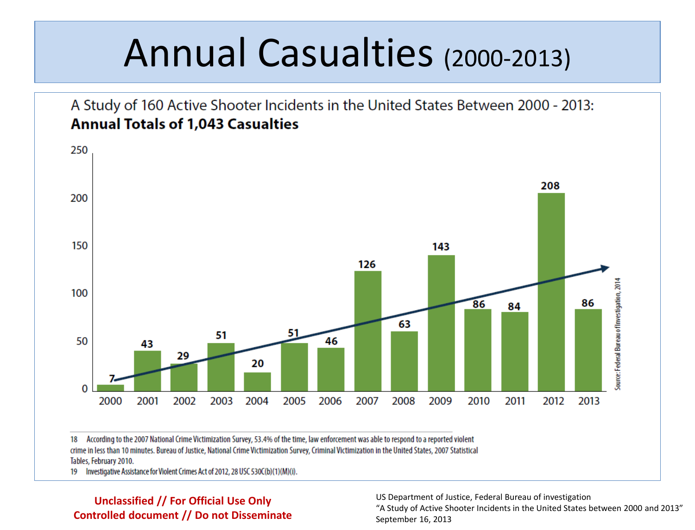### Annual Casualties (2000-2013)



18 According to the 2007 National Crime Victimization Survey, 53.4% of the time, law enforcement was able to respond to a reported violent crime in less than 10 minutes. Bureau of Justice, National Crime Victimization Survey, Criminal Victimization in the United States, 2007 Statistical Tables, February 2010.

19 Investigative Assistance for Violent Crimes Act of 2012, 28 USC 530C(b)(1)(M)(i).

#### **Unclassified // For Official Use Only Controlled document // Do not Disseminate**

US Department of Justice, Federal Bureau of investigation

"A Study of Active Shooter Incidents in the United States between 2000 and 2013" September 16, 2013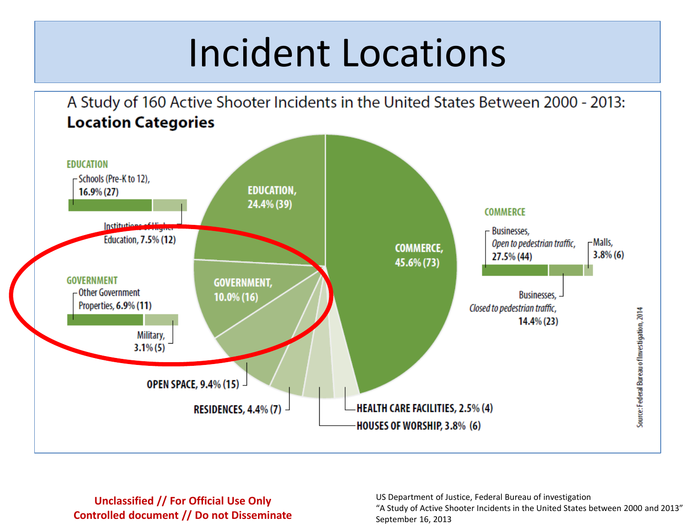### Incident Locations

A Study of 160 Active Shooter Incidents in the United States Between 2000 - 2013: **Location Categories EDUCATION** -Schools (Pre-K to 12), **EDUCATION,**  $16.9\% (27)$ 24.4% (39) **COMMERCE** Institution **Businesses. Education, 7.5% (12)** -Malls. Open to pedestrian traffic, **COMMERCE,**  $3.8\%$  (6) 27.5% (44) 45.6% (73) **GOVERNMENT GOVERNMENT,** - Other Government **Businesses,** 10.0% (16) Properties, 6.9% (11) Closed to pedestrian traffic, Source: Federal Bureau of Investigation, 2014  $14.4\%(23)$ Military,  $3.1\% (5)$ **OPEN SPACE, 9.4% (15) -HEALTH CARE FACILITIES, 2.5% (4) RESIDENCES, 4.4% (7)** HOUSES OF WORSHIP, 3.8% (6)

#### **Unclassified // For Official Use Only Controlled document // Do not Disseminate**

US Department of Justice, Federal Bureau of investigation "A Study of Active Shooter Incidents in the United States between 2000 and 2013" September 16, 2013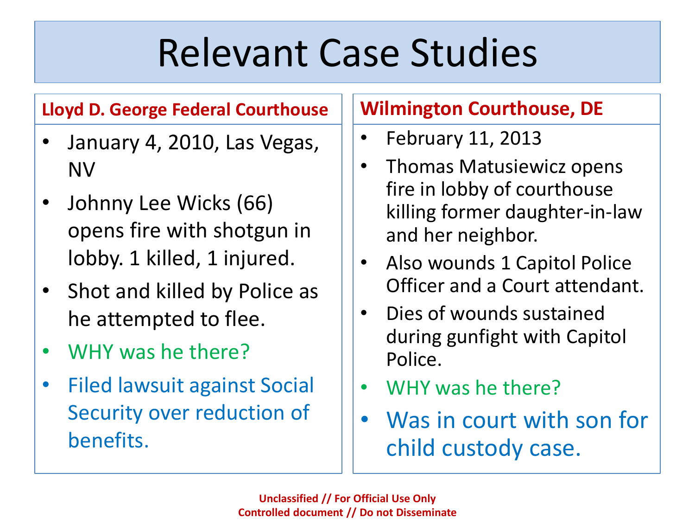### Relevant Case Studies

### **Lloyd D. George Federal Courthouse**

- January 4, 2010, Las Vegas, NV
- Johnny Lee Wicks (66) opens fire with shotgun in lobby. 1 killed, 1 injured.
- Shot and killed by Police as he attempted to flee.
- WHY was he there?
- Filed lawsuit against Social Security over reduction of benefits.

### **Wilmington Courthouse, DE**

- February 11, 2013
- Thomas Matusiewicz opens fire in lobby of courthouse killing former daughter-in-law and her neighbor.
- Also wounds 1 Capitol Police Officer and a Court attendant.
- Dies of wounds sustained during gunfight with Capitol Police.
- WHY was he there?
- Was in court with son for child custody case.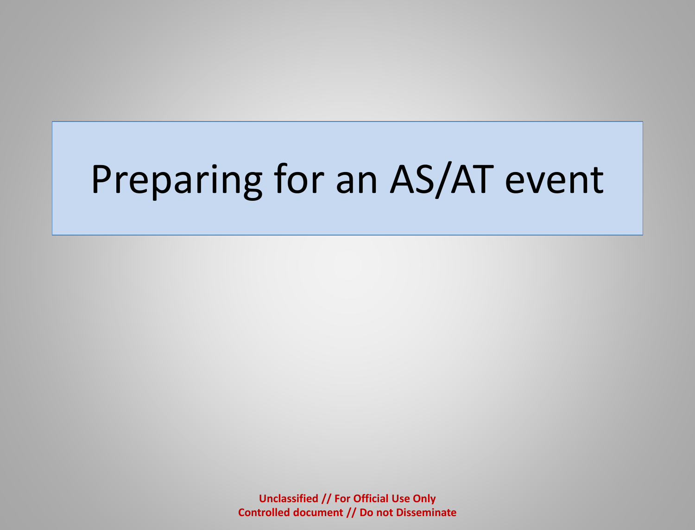## Preparing for an AS/AT event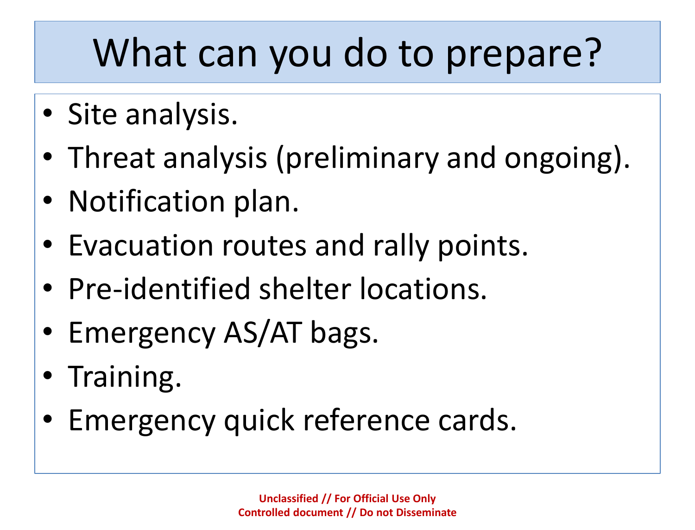## What can you do to prepare?

- Site analysis.
- Threat analysis (preliminary and ongoing).
- Notification plan.
- Evacuation routes and rally points.
- Pre-identified shelter locations.
- Emergency AS/AT bags.
- Training.
- Emergency quick reference cards.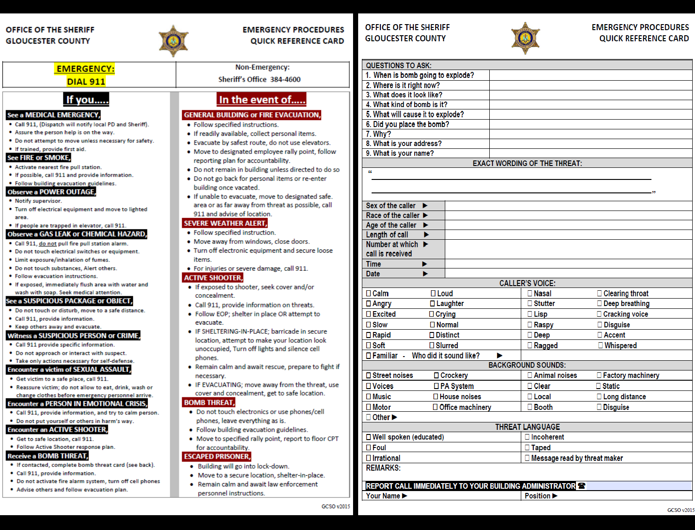#### OFFICE OF THE SHERIFF **GLOUCESTER COUNTY**



#### **EMERGENCY PROCEDURES QUICK REFERENCE CARD**

#### **EMERGENCY:**

#### **DIAL 911**

#### If you....

#### See a MEDICAL EMERGENCY,

- . Call 911, (Dispatch will notify local PD and Sheriff).
- . Assure the person help is on the way.
- . Do not attempt to move unless necessary for safety.
- . If trained, provide first aid.

#### **See FIRE or SMOKE,**

- Activate nearest fire pull station.
- . If possible, call 911 and provide information.

#### . Follow building evacuation guidelines. **Observe a POWER OUTAGE**

- . Notify supervisor.
- . Turn off electrical equipment and move to lighted area

#### . If people are trapped in elevator, call 911.

#### Observe a GAS LEAK or CHEMICAL HAZARD,

- . Call 911, do not pull fire pull station alarm.
- . Do not touch electrical switches or equipment.
- . Limit exposure/inhalation of fumes.
- . Do not touch substances, Alert others.
- · Follow evacuation instructions.
- . If exposed, immediately flush area with water and wash with soap. Seek medical attention.

#### See a SUSPICIOUS PACKAGE or OBJECT,

- . Do not touch or disturb, move to a safe distance.
- · Call 911, provide information.
- . Keep others away and evacuate.

#### **Witness a SUSPICIOUS PERSON or CRIME,**

- Call 911 provide specific information.
- . Do not approach or interact with suspect.

#### . Take only actions necessary for self-defense. **Encounter a victim of SEXUAL ASSAULT,**

- . Get victim to a safe place, call 911.
- . Reassure victim; do not allow to eat, drink, wash or change clothes before emergency personnel arrive.

#### **Encounter a PERSON IN EMOTIONAL CRISIS,**

- . Call 911, provide information, and try to calm person.
- . Do not put yourself or others in harm's way.

#### **Encounter an ACTIVE SHOOTER,**

- . Get to safe location, call 911.
- . Follow Active Shooter response plan.

#### **Receive a BOMB THREAT,**

- . If contacted, complete bomb threat card (see back).
- Call 911, provide information.
- . Do not activate fire alarm system, turn off cell phones
- . Advise others and follow evacuation plan.

Non-Emergency:

#### Sheriff's Office 384-4600

#### In the event of.....

#### **GENERAL BUILDING OF FIRE EVACUATION,**

- · Follow specified instructions.
- . If readily available, collect personal items.
- . Evacuate by safest route, do not use elevators.
- . Move to designated employee rally point, follow reporting plan for accountability.
- . Do not remain in building unless directed to do so
- . Do not go back for personal items or re-enter building once vacated.
- . If unable to evacuate, move to designated safe. area or as far away from threat as possible, call 911 and advise of location.

#### **SEVERE WEATHER ALERT,**

- · Follow specified instruction. . Move away from windows, close doors.
- Turn off electronic equipment and secure loose
- items.
- · For injuries or severe damage, call 911.

#### **ACTIVE SHOOTER,**

- If exposed to shooter, seek cover and/or concealment.
- Call 911, provide information on threats.
- Follow EOP; shelter in place OR attempt to evacuate.
- · IF SHELTERING-IN-PLACE; barricade in secure location, attempt to make your location look unoccupied, Turn off lights and silence cell phones.
- . Remain calm and await rescue, prepare to fight if necessary.
- IF EVACUATING; move away from the threat, use cover and concealment, get to safe location.

#### **BOMB THREAT,**

- Do not touch electronics or use phones/cell phones, leave everything as is.
- · Follow building evacuation guidelines.
- . Move to specified rally point, report to floor CPT for accountability.

#### **ESCAPED PRISONER,**

- . Building will go into lock-down.
- . Move to a secure location, shelter-in-place.
- Remain calm and await law enforcement personnel instructions.

#### OFFICE OF THE SHERIFF **GLOUCESTER COUNTY**



| <b>QUESTIONS TO ASK:</b>                                              |                 |                                |  |
|-----------------------------------------------------------------------|-----------------|--------------------------------|--|
| 1. When is bomb going to explode?                                     |                 |                                |  |
| 2. Where is it right now?                                             |                 |                                |  |
| 3. What does it look like?                                            |                 |                                |  |
| 4. What kind of bomb is it?                                           |                 |                                |  |
| 5. What will cause it to explode?                                     |                 |                                |  |
| 6. Did you place the bomb?                                            |                 |                                |  |
| 7. Why?                                                               |                 |                                |  |
| 8. What is your address?                                              |                 |                                |  |
| 9. What is your name?                                                 |                 |                                |  |
| <b>EXACT WORDING OF THE THREAT:</b><br>$\epsilon$                     |                 |                                |  |
|                                                                       |                 |                                |  |
|                                                                       |                 |                                |  |
|                                                                       |                 |                                |  |
| Sex of the caller $\blacktriangleright$                               |                 |                                |  |
| Race of the caller                                                    |                 |                                |  |
| Age of the caller $\blacktriangleright$                               |                 |                                |  |
| Length of call<br>▶                                                   |                 |                                |  |
| Number at which ▶<br>call is received                                 |                 |                                |  |
| <b>Time</b><br>▶                                                      |                 |                                |  |
| ь<br><b>Date</b>                                                      |                 |                                |  |
| <b>CALLER'S VOICE:</b>                                                |                 |                                |  |
| $\square$ Loud<br>$\Box$ Calm<br>$\square$ Nasal<br>□ Clearing throat |                 |                                |  |
| □ Laughter<br>□ Angry                                                 | $\Box$ Stutter  | Deep breathing                 |  |
| $\Box$ Excited<br>$\Box$ Crying                                       | $\Box$ Lisp     | □ Cracking voice               |  |
| $\square$ Slow<br>$\square$ Normal                                    | □ Raspy         | □ Disguise                     |  |
| $\Box$ Distinct<br>$\Box$ Rapid                                       | $\square$ Deep  | $\Box$ Accent                  |  |
| $\square$ Soft<br>$\square$ Slurred                                   | $\Box$ Ragged   | □ Whispered                    |  |
| □ Familiar - Who did it sound like?                                   | ▶               |                                |  |
| <b>BACKGROUND SOUNDS:</b>                                             |                 |                                |  |
| □ Street noises<br>□ Crockery                                         | □ Animal noises | □ Factory machinery            |  |
| □ PA System<br>□ Voices                                               | $\Box$ Clear    | $\Box$ Static                  |  |
| $\Box$ House noises<br>$\square$ Music                                | $\Box$ Local    | □ Long distance                |  |
| $\square$ Motor<br>□ Office machinery                                 | $\Box$ Booth    | □ Disguise                     |  |
| $\Box$ Other $\blacktriangleright$                                    |                 |                                |  |
| <b>THREAT LANGUAGE</b>                                                |                 |                                |  |
| $\Box$ Incoherent<br>□ Well spoken (educated)                         |                 |                                |  |
| $\square$ Foul                                                        |                 | □ Taped                        |  |
| $\Box$ Irrational                                                     |                 | □ Message read by threat maker |  |
| <b>REMARKS:</b>                                                       |                 |                                |  |
|                                                                       |                 |                                |  |
| <b>REPORT CALL IMMEDIATELY TO YOUR BUILDING ADMINISTRATOR AS</b>      |                 |                                |  |
| Your Name ><br>Position $\blacktriangleright$                         |                 |                                |  |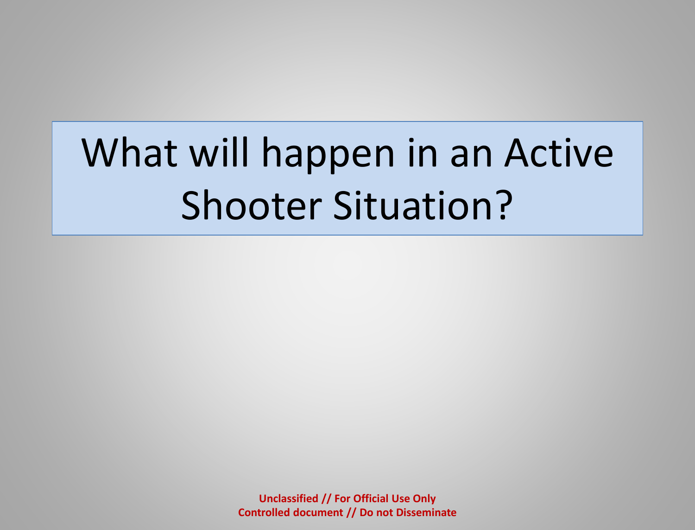## What will happen in an Active Shooter Situation?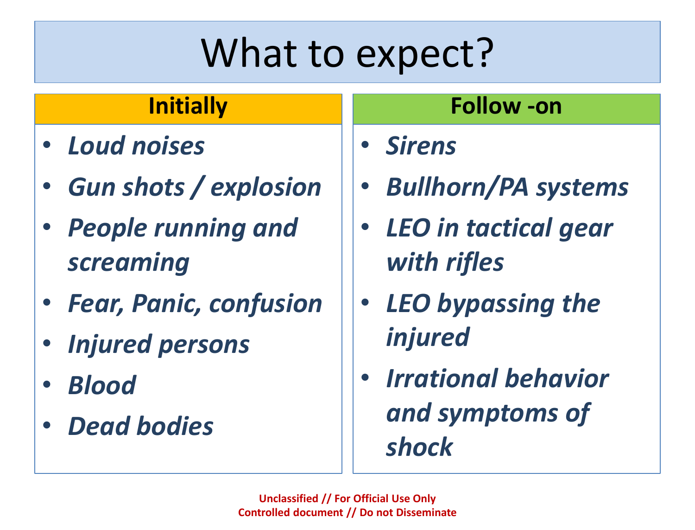## What to expect?

### **Initially**

- *Loud noises*
- *Gun shots / explosion*
- *People running and screaming*
- *Fear, Panic, confusion*
- *Injured persons*
- *Blood*
- *Dead bodies*

### **Follow -on**

• *Sirens*

- *Bullhorn/PA systems*
- *LEO in tactical gear with rifles*
- *LEO bypassing the injured*
- *Irrational behavior and symptoms of shock*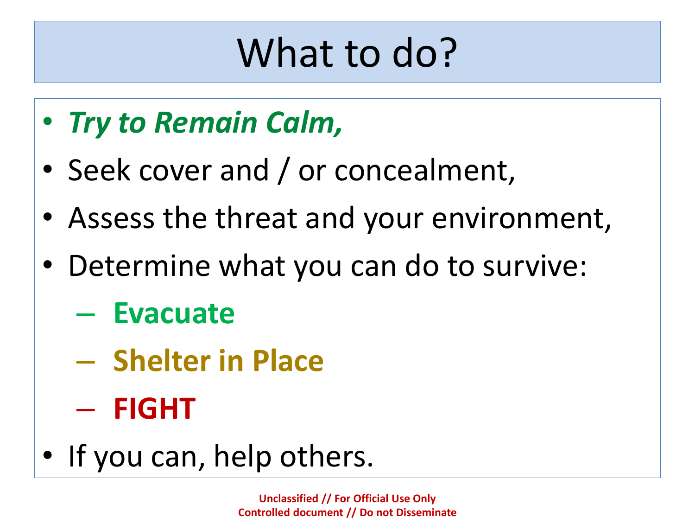## What to do?

- *Try to Remain Calm,*
- Seek cover and / or concealment,
- Assess the threat and your environment,
- Determine what you can do to survive:
	- **Evacuate**
	- **Shelter in Place**
	- **FIGHT**
- If you can, help others.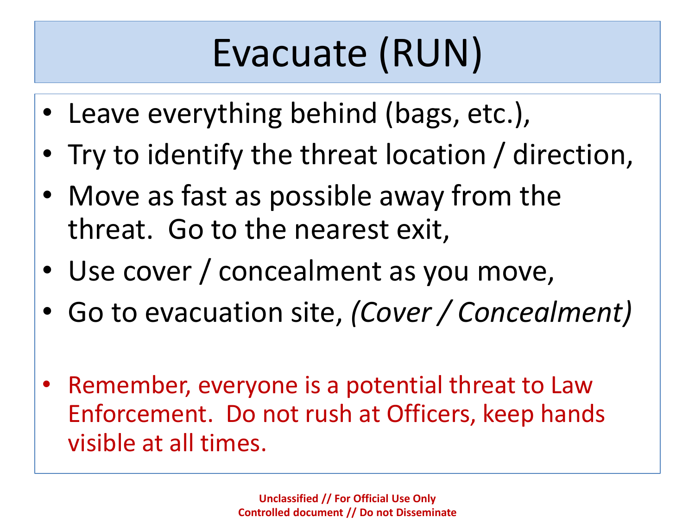## Evacuate (RUN)

- Leave everything behind (bags, etc.),
- Try to identify the threat location / direction,
- Move as fast as possible away from the threat. Go to the nearest exit,
- Use cover / concealment as you move,
- Go to evacuation site, *(Cover / Concealment)*
- Remember, everyone is a potential threat to Law Enforcement. Do not rush at Officers, keep hands visible at all times.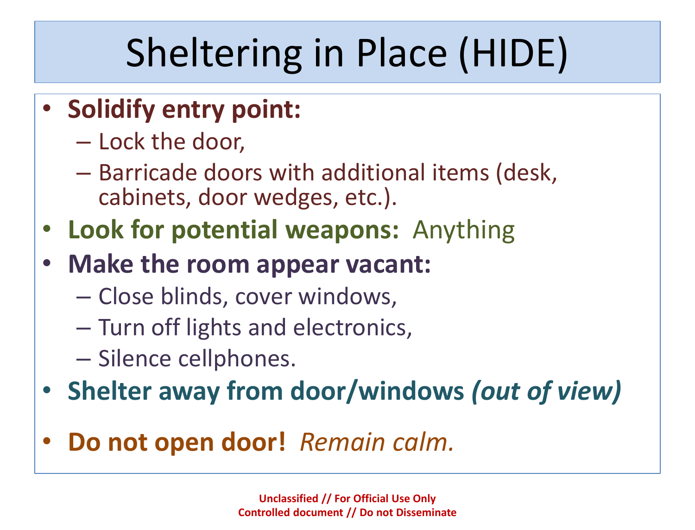## Sheltering in Place (HIDE)

- **Solidify entry point:**
	- Lock the door,
	- Barricade doors with additional items (desk, cabinets, door wedges, etc.).
- **Look for potential weapons:** Anything
- **Make the room appear vacant:**
	- Close blinds, cover windows,
	- Turn off lights and electronics,
	- Silence cellphones.
- **Shelter away from door/windows** *(out of view)*
- **Do not open door!** *Remain calm.*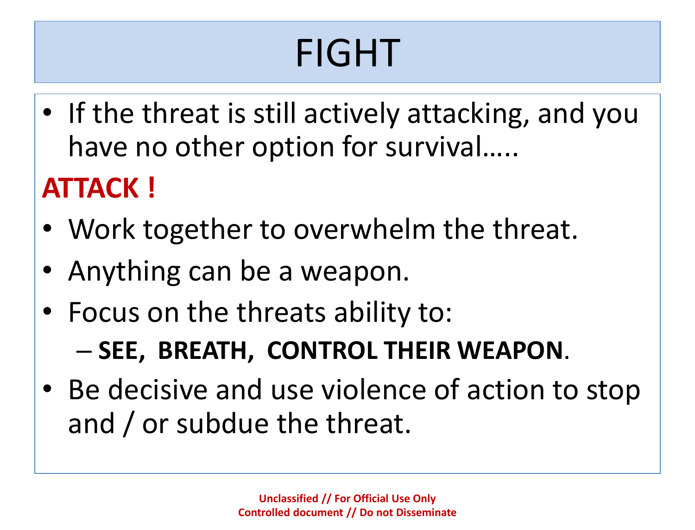## FIGHT

• If the threat is still actively attacking, and you have no other option for survival…..

### **ATTACK !**

- Work together to overwhelm the threat.
- Anything can be a weapon.
- Focus on the threats ability to:

– **SEE, BREATH, CONTROL THEIR WEAPON**.

• Be decisive and use violence of action to stop and / or subdue the threat.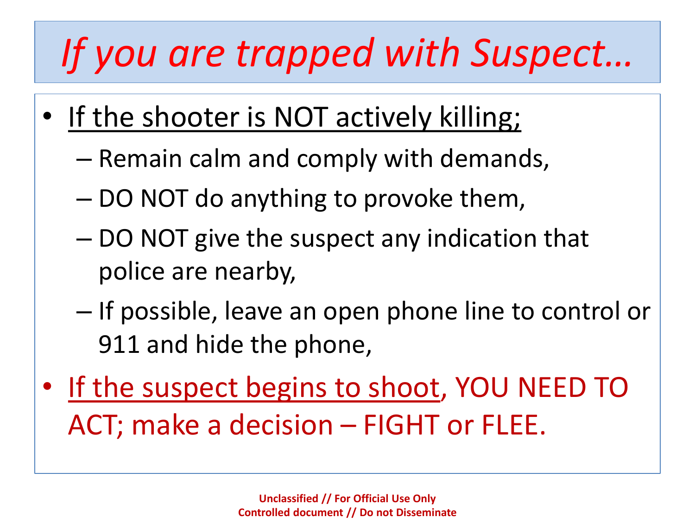## *If you are trapped with Suspect…*

- If the shooter is NOT actively killing;
	- Remain calm and comply with demands,
	- DO NOT do anything to provoke them,
	- DO NOT give the suspect any indication that police are nearby,
	- If possible, leave an open phone line to control or 911 and hide the phone,
- If the suspect begins to shoot, YOU NEED TO ACT; make a decision – FIGHT or FLEE.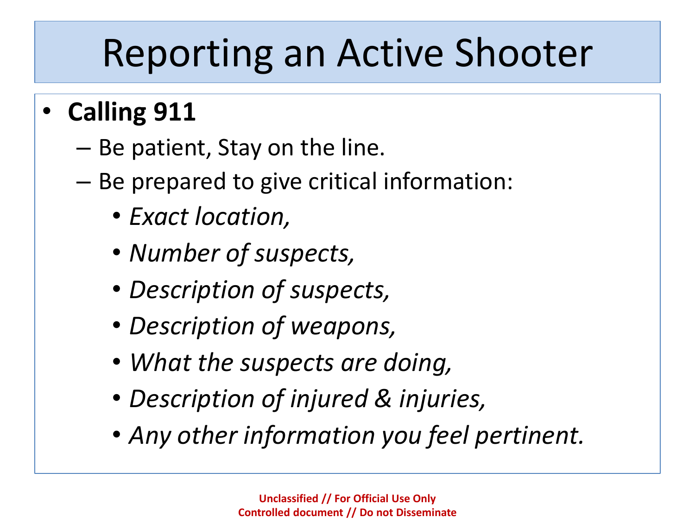### Reporting an Active Shooter

- **Calling 911**
	- Be patient, Stay on the line.
	- Be prepared to give critical information:
		- *Exact location,*
		- *Number of suspects,*
		- *Description of suspects,*
		- *Description of weapons,*
		- *What the suspects are doing,*
		- *Description of injured & injuries,*
		- *Any other information you feel pertinent.*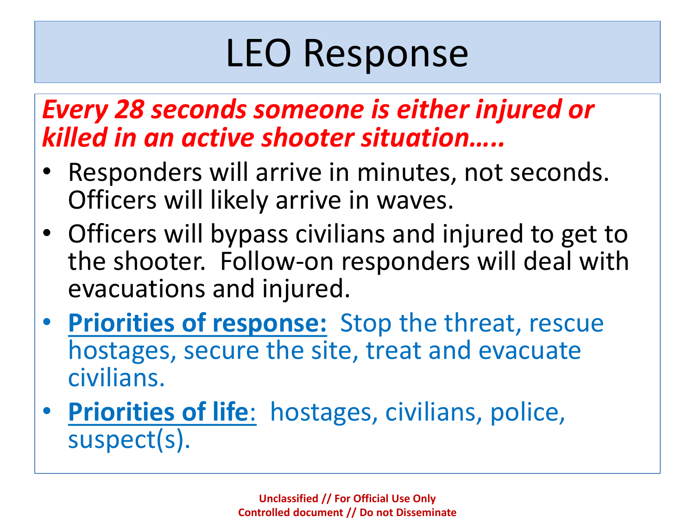### LEO Response

### *Every 28 seconds someone is either injured or killed in an active shooter situation…..*

- Responders will arrive in minutes, not seconds. Officers will likely arrive in waves.
- Officers will bypass civilians and injured to get to the shooter. Follow-on responders will deal with evacuations and injured.
- **Priorities of response:** Stop the threat, rescue hostages, secure the site, treat and evacuate civilians.
- **Priorities of life**: hostages, civilians, police, suspect(s).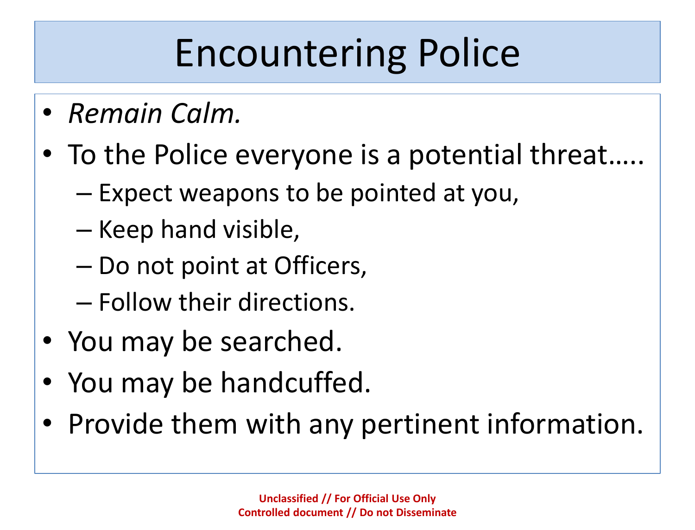## Encountering Police

- *Remain Calm.*
- To the Police everyone is a potential threat…..
	- Expect weapons to be pointed at you,
	- Keep hand visible,
	- Do not point at Officers,
	- Follow their directions.
- You may be searched.
- You may be handcuffed.
- Provide them with any pertinent information.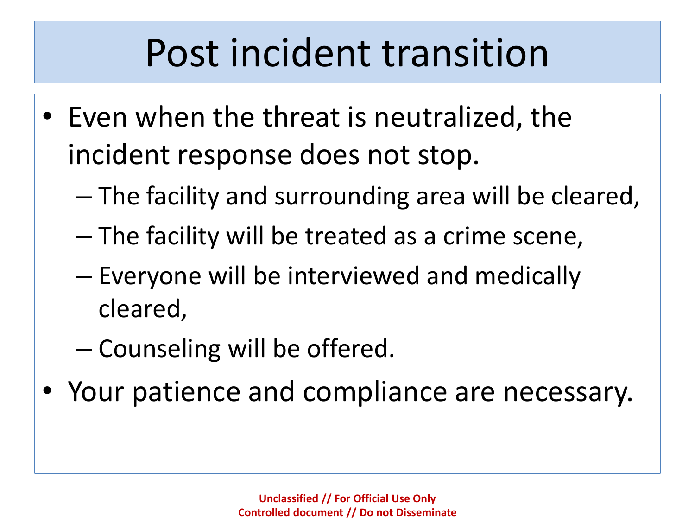### Post incident transition

- Even when the threat is neutralized, the incident response does not stop.
	- The facility and surrounding area will be cleared,
	- The facility will be treated as a crime scene,
	- Everyone will be interviewed and medically cleared,
	- Counseling will be offered.
- Your patience and compliance are necessary.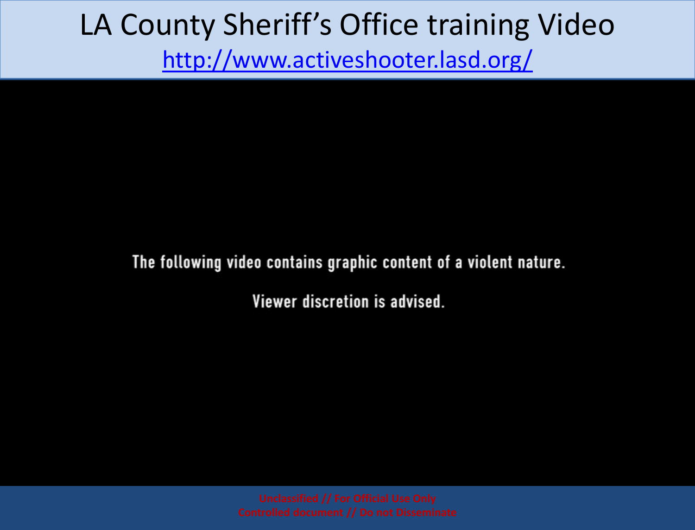### LA County Sheriff's Office training Video <http://www.activeshooter.lasd.org/>

### The following video contains graphic content of a violent nature.

Viewer discretion is advised.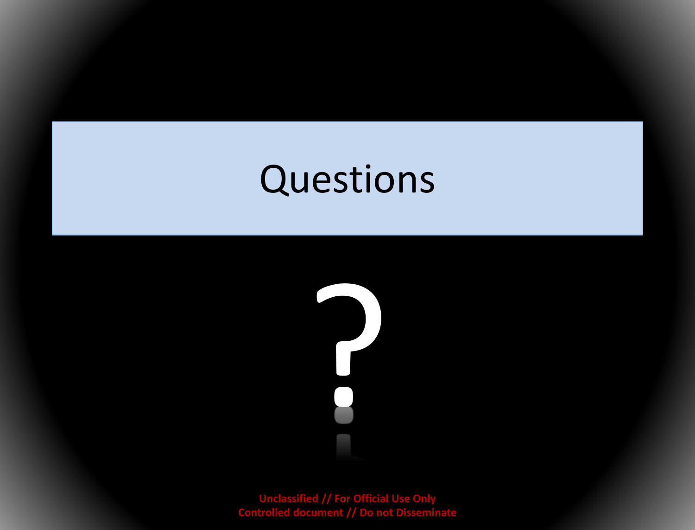### Questions

?